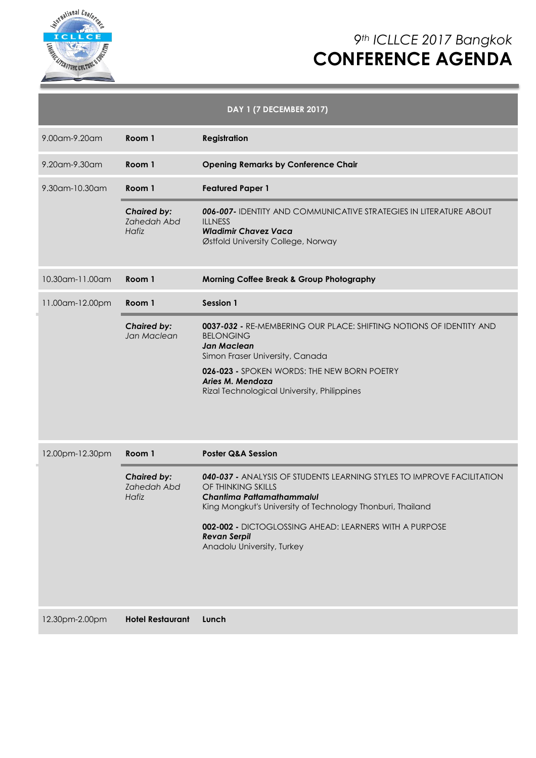

# *9th ICLLCE 2017 Bangkok* **CONFERENCE AGENDA**

|                 |                                                   | <b>DAY 1 (7 DECEMBER 2017)</b>                                                                                                                                                                                                                                                                         |
|-----------------|---------------------------------------------------|--------------------------------------------------------------------------------------------------------------------------------------------------------------------------------------------------------------------------------------------------------------------------------------------------------|
| 9.00am-9.20am   | Room 1                                            | <b>Registration</b>                                                                                                                                                                                                                                                                                    |
| 9.20am-9.30am   | Room 1                                            | <b>Opening Remarks by Conference Chair</b>                                                                                                                                                                                                                                                             |
| 9.30am-10.30am  | Room 1                                            | <b>Featured Paper 1</b>                                                                                                                                                                                                                                                                                |
|                 | <b>Chaired by:</b><br><b>Zahedah Abd</b><br>Hafiz | 006-007- IDENTITY AND COMMUNICATIVE STRATEGIES IN LITERATURE ABOUT<br><b>ILLNESS</b><br><b>Wladimir Chavez Vaca</b><br>Østfold University College, Norway                                                                                                                                              |
| 10.30am-11.00am | Room 1                                            | <b>Morning Coffee Break &amp; Group Photography</b>                                                                                                                                                                                                                                                    |
| 11.00am-12.00pm | Room 1                                            | <b>Session 1</b>                                                                                                                                                                                                                                                                                       |
|                 | <b>Chaired by:</b><br>Jan Maclean                 | 0037-032 - RE-MEMBERING OUR PLACE: SHIFTING NOTIONS OF IDENTITY AND<br><b>BELONGING</b><br>Jan Maclean<br>Simon Fraser University, Canada<br>026-023 - SPOKEN WORDS: THE NEW BORN POETRY<br>Aries M. Mendoza<br>Rizal Technological University, Philippines                                            |
| 12.00pm-12.30pm | Room 1                                            | <b>Poster Q&amp;A Session</b>                                                                                                                                                                                                                                                                          |
|                 | <b>Chaired by:</b><br><b>Zahedah Abd</b><br>Hafiz | 040-037 - ANALYSIS OF STUDENTS LEARNING STYLES TO IMPROVE FACILITATION<br>OF THINKING SKILLS<br>Chantima Pattamathammalul<br>King Mongkut's University of Technology Thonburi, Thailand<br>002-002 - DICTOGLOSSING AHEAD: LEARNERS WITH A PURPOSE<br><b>Revan Serpil</b><br>Anadolu University, Turkey |
| 12.30pm-2.00pm  | <b>Hotel Restaurant</b>                           | Lunch                                                                                                                                                                                                                                                                                                  |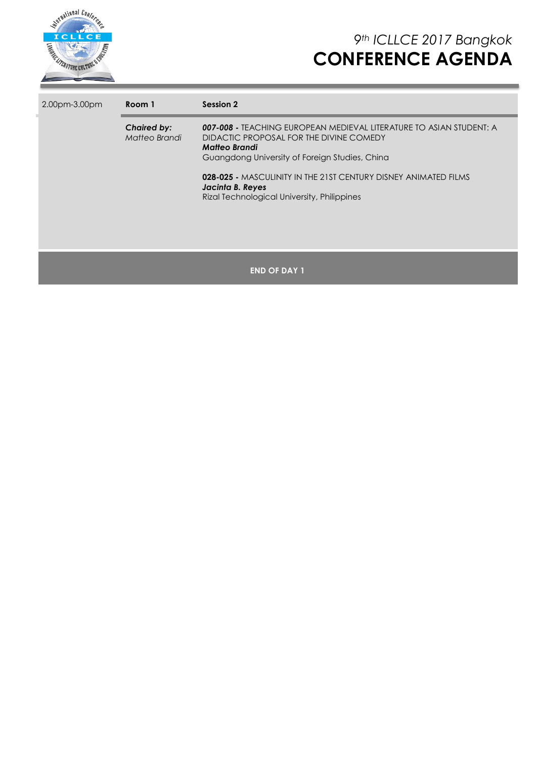

| 2.00pm-3.00pm | Room 1                              | Session 2                                                                                                                                                                                                                                                                                                               |
|---------------|-------------------------------------|-------------------------------------------------------------------------------------------------------------------------------------------------------------------------------------------------------------------------------------------------------------------------------------------------------------------------|
|               | <b>Chaired by:</b><br>Matteo Brandi | 007-008 - TEACHING EUROPEAN MEDIEVAL LITERATURE TO ASIAN STUDENT: A<br>DIDACTIC PROPOSAL FOR THE DIVINE COMEDY<br>Matteo Brandi<br>Guangdong University of Foreign Studies, China<br>028-025 - MASCULINITY IN THE 21ST CENTURY DISNEY ANIMATED FILMS<br>Jacinta B. Reyes<br>Rizal Technological University, Philippines |
|               |                                     | <b>END OF DAY 1</b>                                                                                                                                                                                                                                                                                                     |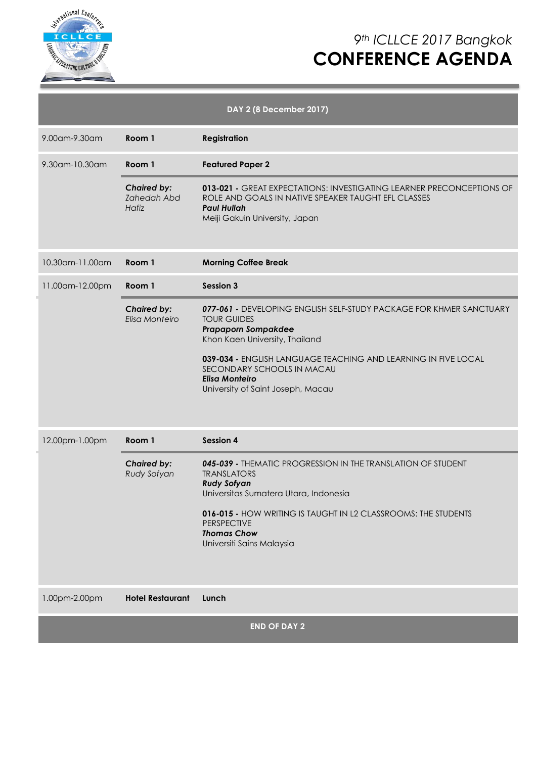

# *9th ICLLCE 2017 Bangkok* **CONFERENCE AGENDA**

| DAY 2 (8 December 2017) |                                                   |                                                                                                                                                                                                                                                                                                                         |  |  |  |
|-------------------------|---------------------------------------------------|-------------------------------------------------------------------------------------------------------------------------------------------------------------------------------------------------------------------------------------------------------------------------------------------------------------------------|--|--|--|
| 9.00am-9.30am           | Room 1                                            | <b>Registration</b>                                                                                                                                                                                                                                                                                                     |  |  |  |
| 9.30am-10.30am          | Room 1                                            | <b>Featured Paper 2</b>                                                                                                                                                                                                                                                                                                 |  |  |  |
|                         | <b>Chaired by:</b><br><b>Zahedah Abd</b><br>Hafiz | 013-021 - GREAT EXPECTATIONS: INVESTIGATING LEARNER PRECONCEPTIONS OF<br>ROLE AND GOALS IN NATIVE SPEAKER TAUGHT EFL CLASSES<br><b>Paul Hullah</b><br>Meiji Gakuin University, Japan                                                                                                                                    |  |  |  |
| 10.30am-11.00am         | Room 1                                            | <b>Morning Coffee Break</b>                                                                                                                                                                                                                                                                                             |  |  |  |
| 11.00am-12.00pm         | Room 1                                            | <b>Session 3</b>                                                                                                                                                                                                                                                                                                        |  |  |  |
|                         | <b>Chaired by:</b><br>Elisa Monteiro              | 077-061 - DEVELOPING ENGLISH SELF-STUDY PACKAGE FOR KHMER SANCTUARY<br><b>TOUR GUIDES</b><br><b>Prapaporn Sompakdee</b><br>Khon Kaen University, Thailand<br>039-034 - ENGLISH LANGUAGE TEACHING AND LEARNING IN FIVE LOCAL<br>SECONDARY SCHOOLS IN MACAU<br><b>Elisa Monteiro</b><br>University of Saint Joseph, Macau |  |  |  |
| 12.00pm-1.00pm          | Room 1                                            | Session 4                                                                                                                                                                                                                                                                                                               |  |  |  |
|                         | <b>Chaired by:</b><br>Rudy Sofyan                 | 045-039 - THEMATIC PROGRESSION IN THE TRANSLATION OF STUDENT<br><b>TRANSLATORS</b><br><b>Rudy Sofyan</b><br>Universitas Sumatera Utara, Indonesia<br>016-015 - HOW WRITING IS TAUGHT IN L2 CLASSROOMS: THE STUDENTS<br><b>PERSPECTIVE</b><br><b>Thomas Chow</b><br>Universiti Sains Malaysia                            |  |  |  |
| 1.00pm-2.00pm           | <b>Hotel Restaurant</b>                           | Lunch                                                                                                                                                                                                                                                                                                                   |  |  |  |
|                         |                                                   | <b>END OF DAY 2</b>                                                                                                                                                                                                                                                                                                     |  |  |  |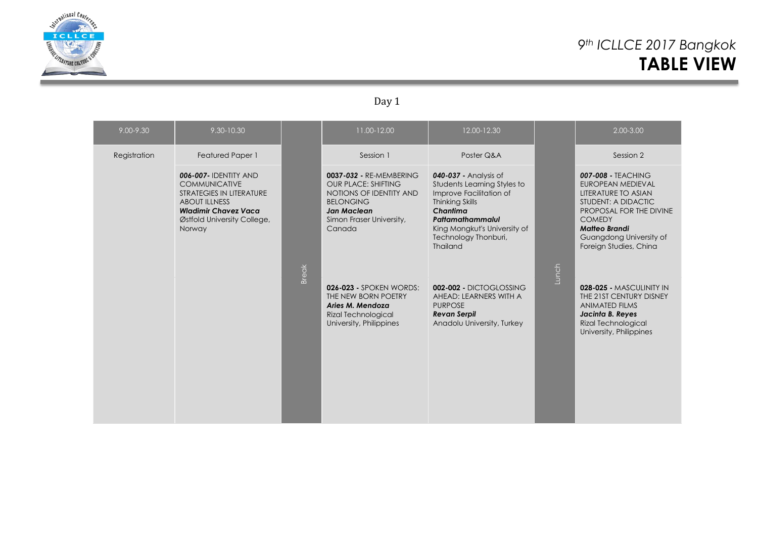

# *9th ICLLCE 2017 Bangkok* **TABLE VIEW**

### Day 1

| 9.00-9.30    | 9.30-10.30                                                                                                                                                                       |              | 11.00-12.00                                                                                                                                                      | 12.00-12.30                                                                                                                                                                                                          |       | 2.00-3.00                                                                                                                                                                                                             |
|--------------|----------------------------------------------------------------------------------------------------------------------------------------------------------------------------------|--------------|------------------------------------------------------------------------------------------------------------------------------------------------------------------|----------------------------------------------------------------------------------------------------------------------------------------------------------------------------------------------------------------------|-------|-----------------------------------------------------------------------------------------------------------------------------------------------------------------------------------------------------------------------|
| Registration | <b>Featured Paper 1</b>                                                                                                                                                          |              | Session 1                                                                                                                                                        | Poster Q&A                                                                                                                                                                                                           |       | Session 2                                                                                                                                                                                                             |
|              | <b>006-007- IDENTITY AND</b><br><b>COMMUNICATIVE</b><br>STRATEGIES IN LITERATURE<br><b>ABOUT ILLNESS</b><br><b>Wladimir Chavez Vaca</b><br>Østfold University College,<br>Norway |              | 0037-032 - RE-MEMBERING<br><b>OUR PLACE: SHIFTING</b><br>NOTIONS OF IDENTITY AND<br><b>BELONGING</b><br><b>Jan Maclean</b><br>Simon Fraser University,<br>Canada | 040-037 - Analysis of<br>Students Learning Styles to<br>Improve Facilitation of<br><b>Thinking Skills</b><br>Chantima<br>Pattamathammalul<br>King Mongkut's University of<br>Technology Thonburi,<br><b>Thailand</b> |       | <b>007-008 - TEACHING</b><br>EUROPEAN MEDIEVAL<br>LITERATURE TO ASIAN<br>STUDENT: A DIDACTIC<br>PROPOSAL FOR THE DIVINE<br><b>COMEDY</b><br><b>Matteo Brandi</b><br>Guangdong University of<br>Foreign Studies, China |
|              |                                                                                                                                                                                  | <b>Break</b> | <b>026-023 - SPOKEN WORDS:</b><br>THE NEW BORN POETRY<br>Aries M. Mendoza<br>Rizal Technological<br>University, Philippines                                      | 002-002 - DICTOGLOSSING<br>AHEAD: LEARNERS WITH A<br><b>PURPOSE</b><br><b>Revan Serpil</b><br>Anadolu University, Turkey                                                                                             | Lunch | 028-025 - MASCULINITY IN<br>THE 21ST CENTURY DISNEY<br><b>ANIMATED FILMS</b><br>Jacinta B. Reyes<br><b>Rizal Technological</b><br>University, Philippines                                                             |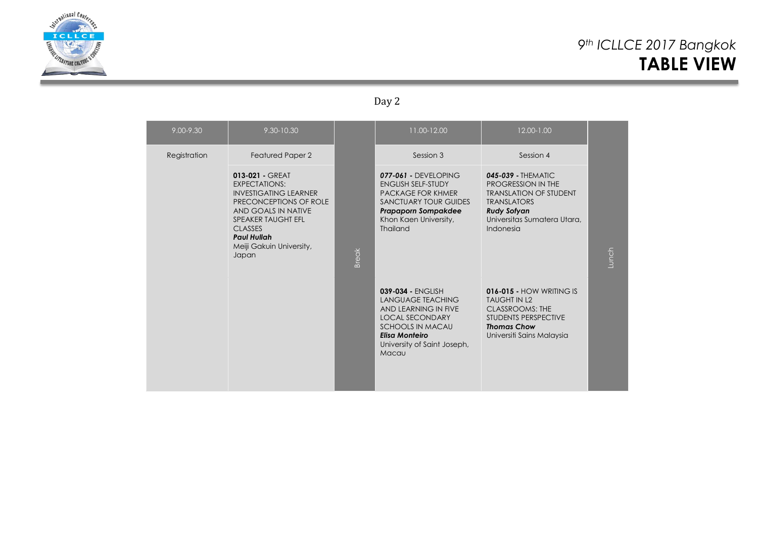

# *9th ICLLCE 2017 Bangkok* **TABLE VIEW**

### Day 2

| 9.00-9.30    | 9.30-10.30                                                                                                                                                                                                                         |              | 11.00-12.00                                                                                                                                                                                 | 12.00-1.00                                                                                                                                                          |       |
|--------------|------------------------------------------------------------------------------------------------------------------------------------------------------------------------------------------------------------------------------------|--------------|---------------------------------------------------------------------------------------------------------------------------------------------------------------------------------------------|---------------------------------------------------------------------------------------------------------------------------------------------------------------------|-------|
| Registration | Featured Paper 2                                                                                                                                                                                                                   | <b>Break</b> | Session 3                                                                                                                                                                                   | Session 4                                                                                                                                                           | Lunch |
|              | 013-021 - GREAT<br><b>EXPECTATIONS:</b><br><b>INVESTIGATING LEARNER</b><br>PRECONCEPTIONS OF ROLE<br>AND GOALS IN NATIVE<br><b>SPEAKER TAUGHT EFL</b><br><b>CLASSES</b><br><b>Paul Hullah</b><br>Meiji Gakuin University,<br>Japan |              | 077-061 - DEVELOPING<br><b>ENGLISH SELF-STUDY</b><br><b>PACKAGE FOR KHMER</b><br><b>SANCTUARY TOUR GUIDES</b><br><b>Prapaporn Sompakdee</b><br>Khon Kaen University,<br>Thailand            | $045-039$ - THEMATIC<br>PROGRESSION IN THE<br><b>TRANSLATION OF STUDENT</b><br><b>TRANSLATORS</b><br><b>Rudy Sofyan</b><br>Universitas Sumatera Utara,<br>Indonesia |       |
|              |                                                                                                                                                                                                                                    |              | 039-034 - ENGLISH<br><b>LANGUAGE TEACHING</b><br>AND LEARNING IN FIVE<br><b>LOCAL SECONDARY</b><br><b>SCHOOLS IN MACAU</b><br><b>Elisa Monteiro</b><br>University of Saint Joseph,<br>Macau | <b>016-015 - HOW WRITING IS</b><br><b>TAUGHT IN L2</b><br>CLASSROOMS: THE<br>STUDENTS PERSPECTIVE<br><b>Thomas Chow</b><br>Universiti Sains Malaysia                |       |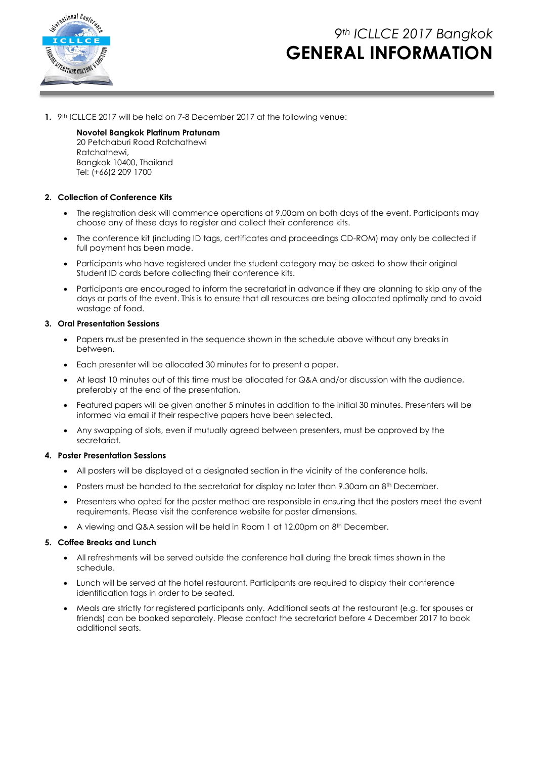

# *9th ICLLCE 2017 Bangkok* **GENERAL INFORMATION**

**1.** 9<sup>th</sup> ICLLCE 2017 will be held on 7-8 December 2017 at the following venue:

**Novotel Bangkok Platinum Pratunam** 20 Petchaburi Road Ratchathewi Ratchathewi, Bangkok 10400, Thailand Tel: (+66)2 209 1700

### **2. Collection of Conference Kits**

- The registration desk will commence operations at 9.00am on both days of the event. Participants may choose any of these days to register and collect their conference kits.
- The conference kit (including ID tags, certificates and proceedings CD-ROM) may only be collected if full payment has been made.
- Participants who have registered under the student category may be asked to show their original Student ID cards before collecting their conference kits.
- Participants are encouraged to inform the secretariat in advance if they are planning to skip any of the days or parts of the event. This is to ensure that all resources are being allocated optimally and to avoid wastage of food.

#### **3. Oral Presentation Sessions**

- Papers must be presented in the sequence shown in the schedule above without any breaks in between.
- Each presenter will be allocated 30 minutes for to present a paper.
- At least 10 minutes out of this time must be allocated for Q&A and/or discussion with the audience, preferably at the end of the presentation.
- Featured papers will be given another 5 minutes in addition to the initial 30 minutes. Presenters will be informed via email if their respective papers have been selected.
- Any swapping of slots, even if mutually agreed between presenters, must be approved by the secretariat.

#### **4. Poster Presentation Sessions**

- All posters will be displayed at a designated section in the vicinity of the conference halls.
- Posters must be handed to the secretariat for display no later than 9.30am on  $8<sup>th</sup>$  December.
- Presenters who opted for the poster method are responsible in ensuring that the posters meet the event requirements. Please visit the conference website for poster dimensions.
- A viewing and Q&A session will be held in Room 1 at 12.00pm on  $8^{\text{th}}$  December.

### **5. Coffee Breaks and Lunch**

- All refreshments will be served outside the conference hall during the break times shown in the schedule.
- Lunch will be served at the hotel restaurant. Participants are required to display their conference identification tags in order to be seated.
- Meals are strictly for registered participants only. Additional seats at the restaurant (e.g. for spouses or friends) can be booked separately. Please contact the secretariat before 4 December 2017 to book additional seats.